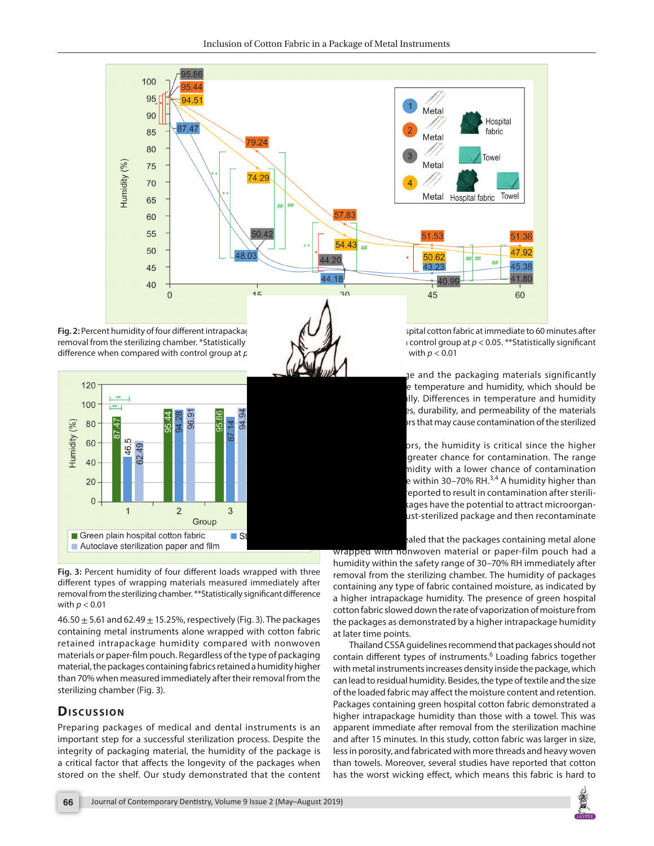

Fig. 2: Percent humidity of four different intrapackage materials wrapped within green plain hospital cotton fabric at immediate to 60 minutes after removal from the sterilizing chamber. \*Statistically significant difference when compared with control group at p < 0.05. \*\*Statistically significant difference when compared with control group at  $p < 0.01$ . ##Statistically significant difference with  $p < 0.01$ 

Fig. 3: Percent humidity of four different loads wrapped with three diferent types of wrapping materials measured immediately after removal from the sterilizing chamber. \*\* Statistically significant difference with  $p < 0.01$ 

 $46.50 \pm 5.61$  and  $62.49 \pm 15.25$ %, respectively (Fig. 3). The packages containing metal instruments alone wrapped with cotton fabric retained intrapackage humidity compared with nonwoven materials or paper-film pouch. Regardless of the type of packaging material, the packages containing fabrics retained a humidity higher than 70% when measured immediately after their removal from the sterilizing chamber (Fig. 3).

## **D**iscussion

Preparing packages of medical and dental instruments is an important step for a successful sterilization process. Despite the integrity of packaging material, the humidity of the package is a critical factor that a fects the longevity of the packages when stored on the shelf. Our study demonstrated that the content

inside the package and the packaging materials significantly afect intrapackage temperature and humidity, which should be considered carefully. Differences in temperature and humidity retaining properties, durability, and permeability of the materials are important factors that may cause contamination of the sterilized instruments.

Of these factors, the humidity is critical since the higher the humidity the greater chance for contamination. The range of acceptable humidity with a lower chance of contamination was reported to be within 30-70% RH.<sup>3,4</sup> A humidity higher than 70% RH has been reported to result in contamination after sterilization.<sup>3,4</sup> Wet packages have the potential to attract microorganisms to enter the just-sterilized package and then recontaminate them.<sup>2</sup>

Our study revealed that the packages containing metal alone wrapped with nonwoven material or paper-film pouch had a humidity within the safety range of 30–70% RH immediately after removal from the sterilizing chamber. The humidity of packages containing any type of fabric contained moisture, as indicated by a higher intrapackage humidity. The presence of green hospital cotton fabric slowed down the rate of vaporization of moisture from the packages as demonstrated by a higher intrapackage humidity at later time points.

Thailand CSSA guidelines recommend that packages should not contain diferent types of instruments.<sup>6</sup> Loading fabrics together with metal instruments increases density inside the package, which can lead to residual humidity. Besides, the type of textile and the size of the loaded fabric may a fect the moisture content and retention. Packages containing green hospital cotton fabric demonstrated a higher intrapackage humidity than those with a towel. This was apparent immediate after removal from the sterilization machine and after 15 minutes. In this study, cotton fabric was larger in size, less in porosity, and fabricated with more threads and heavy woven than towels. Moreover, several studies have reported that cotton has the worst wicking efect, which means this fabric is hard to